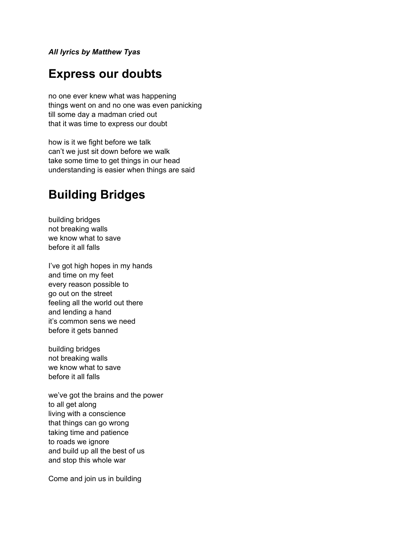*All lyrics by Matthew Tyas*

#### **Express our doubts**

no one ever knew what was happening things went on and no one was even panicking till some day a madman cried out that it was time to express our doubt

how is it we fight before we talk can't we just sit down before we walk take some time to get things in our head understanding is easier when things are said

### **Building Bridges**

building bridges not breaking walls we know what to save before it all falls

I've got high hopes in my hands and time on my feet every reason possible to go out on the street feeling all the world out there and lending a hand it's common sens we need before it gets banned

building bridges not breaking walls we know what to save before it all falls

we've got the brains and the power to all get along living with a conscience that things can go wrong taking time and patience to roads we ignore and build up all the best of us and stop this whole war

Come and join us in building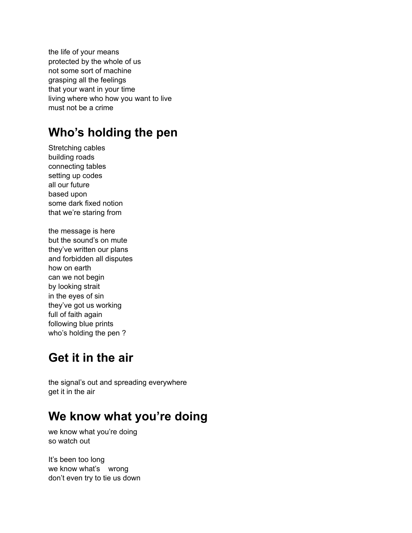the life of your means protected by the whole of us not some sort of machine grasping all the feelings that your want in your time living where who how you want to live must not be a crime

# **Who's holding the pen**

Stretching cables building roads connecting tables setting up codes all our future based upon some dark fixed notion that we're staring from

the message is here but the sound's on mute they've written our plans and forbidden all disputes how on earth can we not begin by looking strait in the eyes of sin they've got us working full of faith again following blue prints who's holding the pen ?

## **Get it in the air**

the signal's out and spreading everywhere get it in the air

# **We know what you're doing**

we know what you're doing so watch out

It's been too long we know what's wrong don't even try to tie us down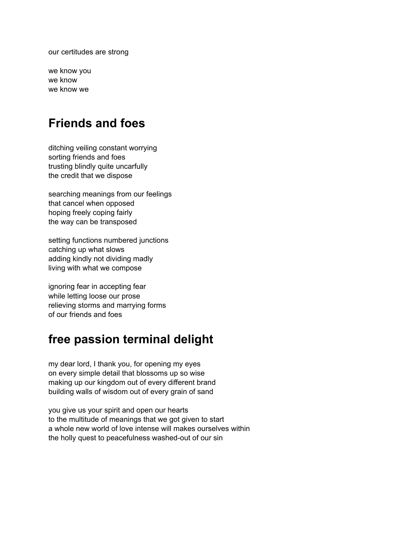our certitudes are strong

we know you we know we know we

#### **Friends and foes**

ditching veiling constant worrying sorting friends and foes trusting blindly quite uncarfully the credit that we dispose

searching meanings from our feelings that cancel when opposed hoping freely coping fairly the way can be transposed

setting functions numbered junctions catching up what slows adding kindly not dividing madly living with what we compose

ignoring fear in accepting fear while letting loose our prose relieving storms and marrying forms of our friends and foes

### **free passion terminal delight**

my dear lord, I thank you, for opening my eyes on every simple detail that blossoms up so wise making up our kingdom out of every different brand building walls of wisdom out of every grain of sand

you give us your spirit and open our hearts to the multitude of meanings that we got given to start a whole new world of love intense will makes ourselves within the holly quest to peacefulness washed-out of our sin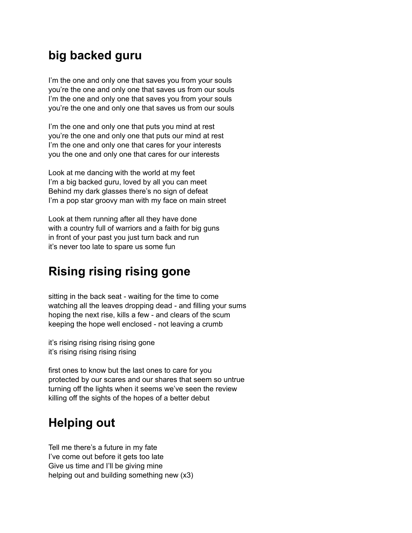## **big backed guru**

I'm the one and only one that saves you from your souls you're the one and only one that saves us from our souls I'm the one and only one that saves you from your souls you're the one and only one that saves us from our souls

I'm the one and only one that puts you mind at rest you're the one and only one that puts our mind at rest I'm the one and only one that cares for your interests you the one and only one that cares for our interests

Look at me dancing with the world at my feet I'm a big backed guru, loved by all you can meet Behind my dark glasses there's no sign of defeat I'm a pop star groovy man with my face on main street

Look at them running after all they have done with a country full of warriors and a faith for big guns in front of your past you just turn back and run it's never too late to spare us some fun

## **Rising rising rising gone**

sitting in the back seat - waiting for the time to come watching all the leaves dropping dead - and filling your sums hoping the next rise, kills a few - and clears of the scum keeping the hope well enclosed - not leaving a crumb

it's rising rising rising rising gone it's rising rising rising rising

first ones to know but the last ones to care for you protected by our scares and our shares that seem so untrue turning off the lights when it seems we've seen the review killing off the sights of the hopes of a better debut

## **Helping out**

Tell me there's a future in my fate I've come out before it gets too late Give us time and I'll be giving mine helping out and building something new (x3)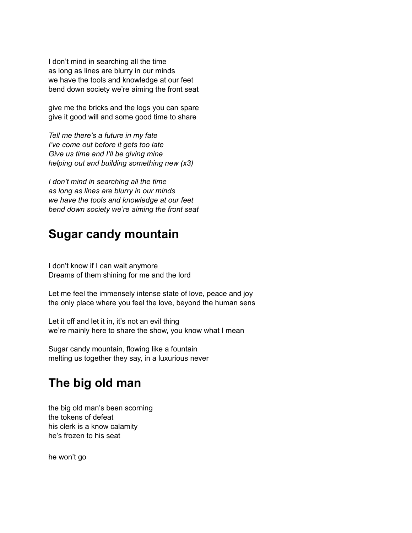I don't mind in searching all the time as long as lines are blurry in our minds we have the tools and knowledge at our feet bend down society we're aiming the front seat

give me the bricks and the logs you can spare give it good will and some good time to share

*Tell me there's a future in my fate I've come out before it gets too late Give us time and I'll be giving mine helping out and building something new (x3)*

*I don't mind in searching all the time as long as lines are blurry in our minds we have the tools and knowledge at our feet bend down society we're aiming the front seat*

#### **Sugar candy mountain**

I don't know if I can wait anymore Dreams of them shining for me and the lord

Let me feel the immensely intense state of love, peace and joy the only place where you feel the love, beyond the human sens

Let it off and let it in, it's not an evil thing we're mainly here to share the show, you know what I mean

Sugar candy mountain, flowing like a fountain melting us together they say, in a luxurious never

## **The big old man**

the big old man's been scorning the tokens of defeat his clerk is a know calamity he's frozen to his seat

he won't go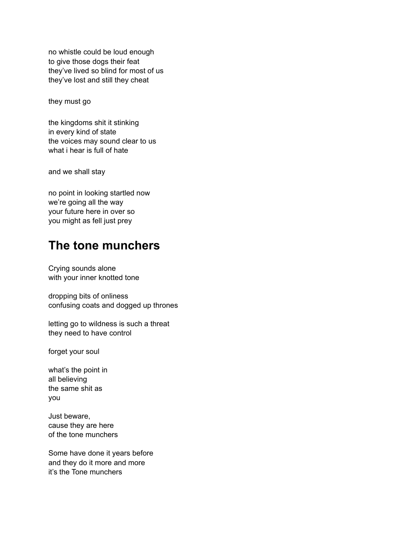no whistle could be loud enough to give those dogs their feat they've lived so blind for most of us they've lost and still they cheat

they must go

the kingdoms shit it stinking in every kind of state the voices may sound clear to us what i hear is full of hate

and we shall stay

no point in looking startled now we're going all the way your future here in over so you might as fell just prey

#### **The tone munchers**

Crying sounds alone with your inner knotted tone

dropping bits of onliness confusing coats and dogged up thrones

letting go to wildness is such a threat they need to have control

forget your soul

what's the point in all believing the same shit as you

Just beware, cause they are here of the tone munchers

Some have done it years before and they do it more and more it's the Tone munchers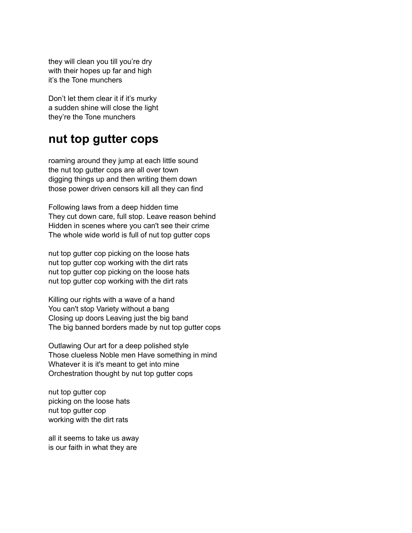they will clean you till you're dry with their hopes up far and high it's the Tone munchers

Don't let them clear it if it's murky a sudden shine will close the light they're the Tone munchers

#### **nut top gutter cops**

roaming around they jump at each little sound the nut top gutter cops are all over town digging things up and then writing them down those power driven censors kill all they can find

Following laws from a deep hidden time They cut down care, full stop. Leave reason behind Hidden in scenes where you can't see their crime The whole wide world is full of nut top gutter cops

nut top gutter cop picking on the loose hats nut top gutter cop working with the dirt rats nut top gutter cop picking on the loose hats nut top gutter cop working with the dirt rats

Killing our rights with a wave of a hand You can't stop Variety without a bang Closing up doors Leaving just the big band The big banned borders made by nut top gutter cops

Outlawing Our art for a deep polished style Those clueless Noble men Have something in mind Whatever it is it's meant to get into mine Orchestration thought by nut top gutter cops

nut top gutter cop picking on the loose hats nut top gutter cop working with the dirt rats

all it seems to take us away is our faith in what they are